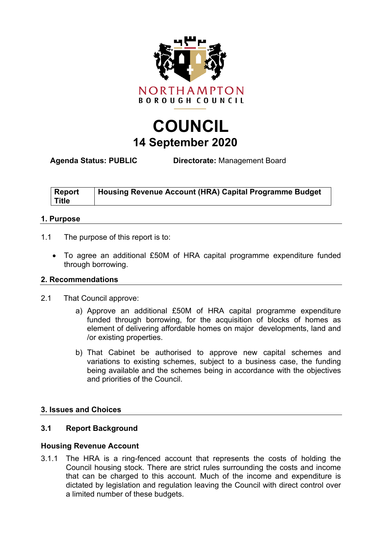

# **COUNCIL 14 September 2020**

**Agenda Status: PUBLIC Directorate:** Management Board

| <b>Report</b> | Housing Revenue Account (HRA) Capital Programme Budget |
|---------------|--------------------------------------------------------|
| <b>Title</b>  |                                                        |

# **1. Purpose**

- 1.1 The purpose of this report is to:
	- To agree an additional £50M of HRA capital programme expenditure funded through borrowing.

## **2. Recommendations**

- 2.1 That Council approve:
	- a) Approve an additional £50M of HRA capital programme expenditure funded through borrowing, for the acquisition of blocks of homes as element of delivering affordable homes on major developments, land and /or existing properties.
	- b) That Cabinet be authorised to approve new capital schemes and variations to existing schemes, subject to a business case, the funding being available and the schemes being in accordance with the objectives and priorities of the Council.

## **3. Issues and Choices**

# **3.1 Report Background**

## **Housing Revenue Account**

3.1.1 The HRA is a ring-fenced account that represents the costs of holding the Council housing stock. There are strict rules surrounding the costs and income that can be charged to this account. Much of the income and expenditure is dictated by legislation and regulation leaving the Council with direct control over a limited number of these budgets.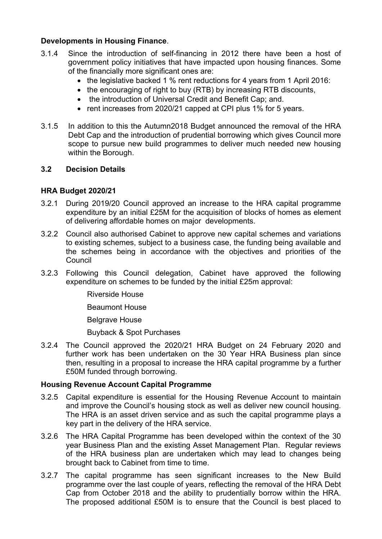# **Developments in Housing Finance**.

- 3.1.4 Since the introduction of self-financing in 2012 there have been a host of government policy initiatives that have impacted upon housing finances. Some of the financially more significant ones are:
	- the legislative backed 1 % rent reductions for 4 years from 1 April 2016:
	- the encouraging of right to buy (RTB) by increasing RTB discounts,
	- the introduction of Universal Credit and Benefit Cap: and.
	- rent increases from 2020/21 capped at CPI plus 1% for 5 years.
- 3.1.5 In addition to this the Autumn2018 Budget announced the removal of the HRA Debt Cap and the introduction of prudential borrowing which gives Council more scope to pursue new build programmes to deliver much needed new housing within the Borough.

# **3.2 Decision Details**

# **HRA Budget 2020/21**

- 3.2.1 During 2019/20 Council approved an increase to the HRA capital programme expenditure by an initial £25M for the acquisition of blocks of homes as element of delivering affordable homes on major developments.
- 3.2.2 Council also authorised Cabinet to approve new capital schemes and variations to existing schemes, subject to a business case, the funding being available and the schemes being in accordance with the objectives and priorities of the Council
- 3.2.3 Following this Council delegation, Cabinet have approved the following expenditure on schemes to be funded by the initial £25m approval:

Riverside House

Beaumont House

Belgrave House

Buyback & Spot Purchases

3.2.4 The Council approved the 2020/21 HRA Budget on 24 February 2020 and further work has been undertaken on the 30 Year HRA Business plan since then, resulting in a proposal to increase the HRA capital programme by a further £50M funded through borrowing.

## **Housing Revenue Account Capital Programme**

- 3.2.5 Capital expenditure is essential for the Housing Revenue Account to maintain and improve the Council's housing stock as well as deliver new council housing. The HRA is an asset driven service and as such the capital programme plays a key part in the delivery of the HRA service.
- 3.2.6 The HRA Capital Programme has been developed within the context of the 30 year Business Plan and the existing Asset Management Plan. Regular reviews of the HRA business plan are undertaken which may lead to changes being brought back to Cabinet from time to time.
- 3.2.7 The capital programme has seen significant increases to the New Build programme over the last couple of years, reflecting the removal of the HRA Debt Cap from October 2018 and the ability to prudentially borrow within the HRA. The proposed additional £50M is to ensure that the Council is best placed to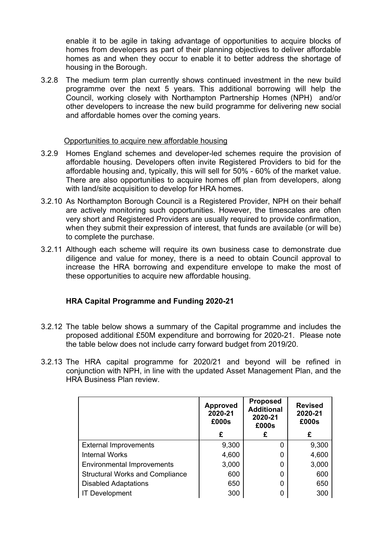enable it to be agile in taking advantage of opportunities to acquire blocks of homes from developers as part of their planning objectives to deliver affordable homes as and when they occur to enable it to better address the shortage of housing in the Borough.

3.2.8 The medium term plan currently shows continued investment in the new build programme over the next 5 years. This additional borrowing will help the Council, working closely with Northampton Partnership Homes (NPH) and/or other developers to increase the new build programme for delivering new social and affordable homes over the coming years.

#### Opportunities to acquire new affordable housing

- 3.2.9 Homes England schemes and developer-led schemes require the provision of affordable housing. Developers often invite Registered Providers to bid for the affordable housing and, typically, this will sell for 50% - 60% of the market value. There are also opportunities to acquire homes off plan from developers, along with land/site acquisition to develop for HRA homes.
- 3.2.10 As Northampton Borough Council is a Registered Provider, NPH on their behalf are actively monitoring such opportunities. However, the timescales are often very short and Registered Providers are usually required to provide confirmation, when they submit their expression of interest, that funds are available (or will be) to complete the purchase.
- 3.2.11 Although each scheme will require its own business case to demonstrate due diligence and value for money, there is a need to obtain Council approval to increase the HRA borrowing and expenditure envelope to make the most of these opportunities to acquire new affordable housing.

# **HRA Capital Programme and Funding 2020-21**

- 3.2.12 The table below shows a summary of the Capital programme and includes the proposed additional £50M expenditure and borrowing for 2020-21. Please note the table below does not include carry forward budget from 2019/20.
- 3.2.13 The HRA capital programme for 2020/21 and beyond will be refined in conjunction with NPH, in line with the updated Asset Management Plan, and the HRA Business Plan review.

|                                        | <b>Approved</b><br>2020-21<br>£000s | <b>Proposed</b><br><b>Additional</b><br>2020-21<br>£000s | <b>Revised</b><br>2020-21<br>£000s |
|----------------------------------------|-------------------------------------|----------------------------------------------------------|------------------------------------|
|                                        | £                                   | £                                                        | £                                  |
| <b>External Improvements</b>           | 9,300                               | 0                                                        | 9,300                              |
| <b>Internal Works</b>                  | 4,600                               | 0                                                        | 4,600                              |
| <b>Environmental Improvements</b>      | 3,000                               | 0                                                        | 3,000                              |
| <b>Structural Works and Compliance</b> | 600                                 | 0                                                        | 600                                |
| <b>Disabled Adaptations</b>            | 650                                 | 0                                                        | 650                                |
| <b>IT Development</b>                  | 300                                 | 0                                                        | 300                                |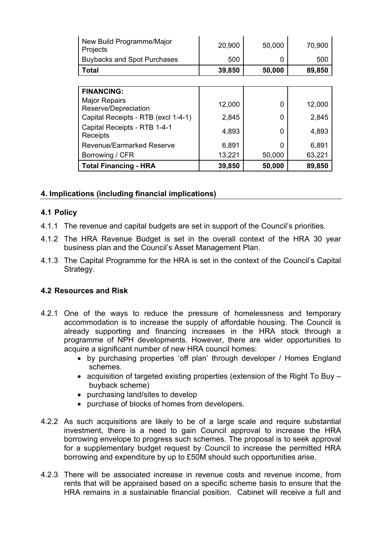| New Build Programme/Major<br>Projects        | 20,900 | 50,000 | 70,900 |
|----------------------------------------------|--------|--------|--------|
| <b>Buybacks and Spot Purchases</b>           | 500    | 0      | 500    |
| <b>Total</b>                                 | 39,850 | 50,000 | 89,850 |
|                                              |        |        |        |
| <b>FINANCING:</b>                            |        |        |        |
| <b>Major Repairs</b><br>Reserve/Depreciation | 12,000 | 0      | 12,000 |
| Capital Receipts - RTB (excl 1-4-1)          | 2,845  | 0      | 2,845  |
| Capital Receipts - RTB 1-4-1<br>Receipts     | 4,893  | 0      | 4,893  |
| Revenue/Earmarked Reserve                    | 6,891  | 0      | 6,891  |
| Borrowing / CFR                              | 13,221 | 50,000 | 63,221 |
| <b>Total Financing - HRA</b>                 | 39,850 | 50,000 | 89,850 |

# **4. Implications (including financial implications)**

# **4.1 Policy**

- 4.1.1 The revenue and capital budgets are set in support of the Council's priorities.
- 4.1.2 The HRA Revenue Budget is set in the overall context of the HRA 30 year business plan and the Council's Asset Management Plan.
- 4.1.3 The Capital Programme for the HRA is set in the context of the Council's Capital Strategy.

## **4.2 Resources and Risk**

- 4.2.1 One of the ways to reduce the pressure of homelessness and temporary accommodation is to increase the supply of affordable housing. The Council is already supporting and financing increases in the HRA stock through a programme of NPH developments. However, there are wider opportunities to acquire a significant number of new HRA council homes:
	- by purchasing properties 'off plan' through developer / Homes England schemes.
	- acquisition of targeted existing properties (extension of the Right To Buy buyback scheme)
	- purchasing land/sites to develop
	- purchase of blocks of homes from developers.
- 4.2.2 As such acquisitions are likely to be of a large scale and require substantial investment, there is a need to gain Council approval to increase the HRA borrowing envelope to progress such schemes. The proposal is to seek approval for a supplementary budget request by Council to increase the permitted HRA borrowing and expenditure by up to £50M should such opportunities arise.
- 4.2.3 There will be associated increase in revenue costs and revenue income, from rents that will be appraised based on a specific scheme basis to ensure that the HRA remains in a sustainable financial position. Cabinet will receive a full and